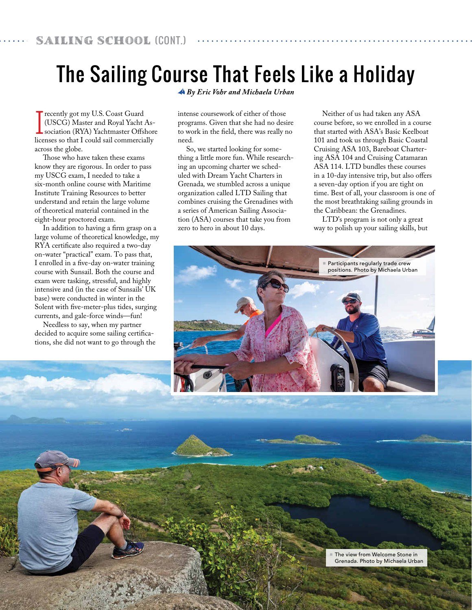## The Sailing Course That Feels Like a Holiday

Tecently got my U.S. Coast Guard<br>(USCG) Master and Royal Yacht<br>sociation (RYA) Yachtmaster Offsl (USCG) Master and Royal Yacht Association (RYA) Yachtmaster Offshore licenses so that I could sail commercially across the globe.

Those who have taken these exams know they are rigorous. In order to pass my USCG exam, I needed to take a six-month online course with Maritime Institute Training Resources to better understand and retain the large volume of theoretical material contained in the eight-hour proctored exam.

In addition to having a firm grasp on a large volume of theoretical knowledge, my RYA certificate also required a two-day on-water "practical" exam. To pass that, I enrolled in a five-day on-water training course with Sunsail. Both the course and exam were tasking, stressful, and highly intensive and (in the case of Sunsails' UK base) were conducted in winter in the Solent with five-meter-plus tides, surging currents, and gale-force winds—fun!

Needless to say, when my partner decided to acquire some sailing certifications, she did not want to go through the

58 April 2020 SpinSheet.com

 *By Eric Vohr and Michaela Urban*

intense coursework of either of those programs. Given that she had no desire to work in the field, there was really no need.

So, we started looking for something a little more fun. While researching an upcoming charter we scheduled with Dream Yacht Charters in Grenada*,* we stumbled across a unique organization called LTD Sailing that combines cruising the Grenadines with a series of American Sailing Association (ASA) courses that take you from zero to hero in about 10 days.

Neither of us had taken any ASA course before, so we enrolled in a course that started with ASA's Basic Keelboat 101 and took us through Basic Coastal Cruising ASA 103, Bareboat Chartering ASA 104 and Cruising Catamaran ASA 114. LTD bundles these courses in a 10-day intensive trip, but also offers a seven-day option if you are tight on time. Best of all, your classroom is one of the most breathtaking sailing grounds in the Caribbean: the Grenadines.

LTD's program is not only a great way to polish up your sailing skills, but

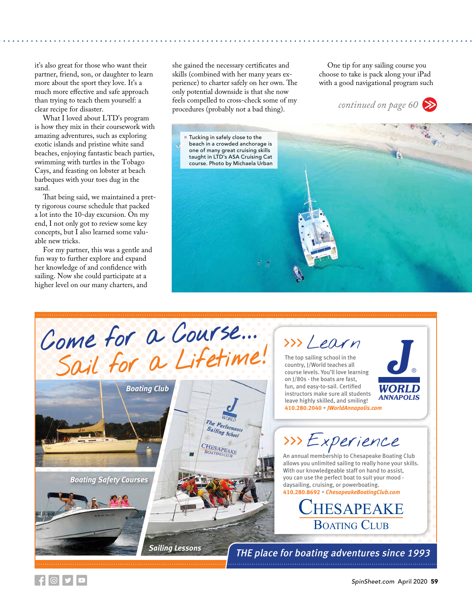it's also great for those who want their partner, friend, son, or daughter to learn more about the sport they love. It's a much more effective and safe approach than trying to teach them yourself: a clear recipe for disaster.

What I loved about LTD's program is how they mix in their coursework with amazing adventures, such as exploring exotic islands and pristine white sand beaches, enjoying fantastic beach parties, swimming with turtles in the Tobago Cays, and feasting on lobster at beach barbeques with your toes dug in the sand.

That being said, we maintained a pretty rigorous course schedule that packed a lot into the 10-day excursion. On my end, I not only got to review some key concepts, but I also learned some valuable new tricks.

For my partner, this was a gentle and fun way to further explore and expand her knowledge of and confidence with sailing. Now she could participate at a higher level on our many charters, and

she gained the necessary certificates and skills (combined with her many years experience) to charter safely on her own. The only potential downside is that she now feels compelled to cross-check some of my procedures (probably not a bad thing).

One tip for any sailing course you choose to take is pack along your iPad with a good navigational program such

*continued on page 60*